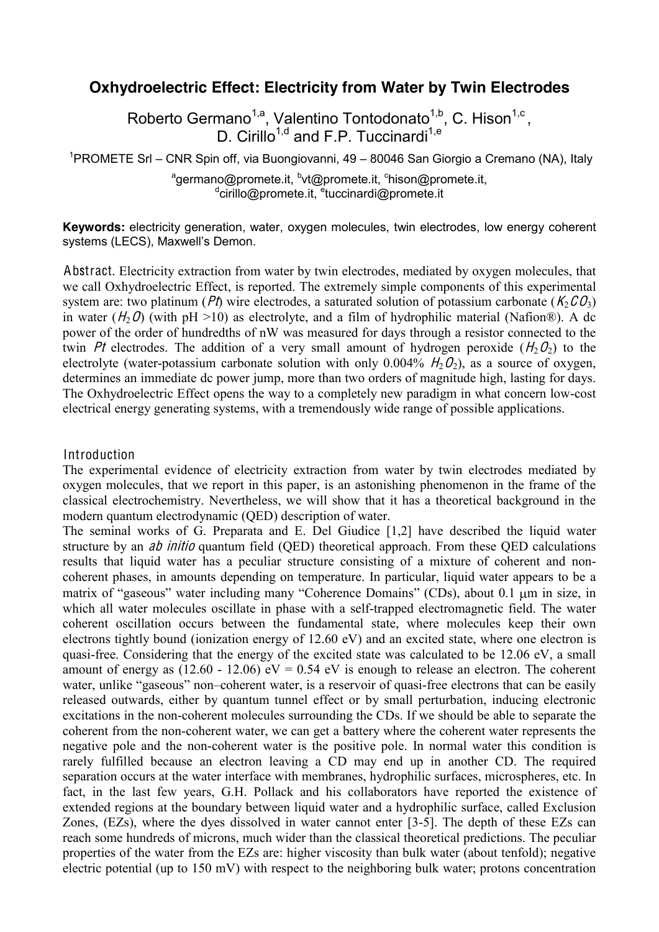# **Oxhydroelectric Effect: Electricity from Water by Twin Electrodes**

Roberto Germano<sup>1,a</sup>, Valentino Tontodonato<sup>1,b</sup>, C. Hison<sup>1,c</sup>, D. Cirillo<sup>1,d</sup> and F.P. Tuccinardi<sup>1,e</sup>

<sup>1</sup>PROMETE Srl - CNR Spin off, via Buongiovanni, 49 - 80046 San Giorgio a Cremano (NA), Italy

<sup>a</sup>germano@promete.it, <sup>b</sup>vt@promete.it, <sup>c</sup>hison@promete.it,<br>dirillo@promete.it, <sup>e</sup>tuccinardi@promete.it

**Keywords:** electricity generation, water, oxygen molecules, twin electrodes, low energy coherent systems (LECS), Maxwell's Demon.

Abstract. Electricity extraction from water by twin electrodes, mediated by oxygen molecules, that we call Oxhydroelectric Effect, is reported. The extremely simple components of this experimental system are: two platinum (*Pt*) wire electrodes, a saturated solution of potassium carbonate (K<sub>2</sub>CO<sub>3</sub>) in water  $(H_2O)$  (with pH >10) as electrolyte, and a film of hydrophilic material (Nafion®). A dc power of the order of hundredths of nW was measured for days through a resistor connected to the twin Pt electrodes. The addition of a very small amount of hydrogen peroxide  $(H_2O_2)$  to the electrolyte (water-potassium carbonate solution with only 0.004%  $H_2O_2$ ), as a source of oxygen, determines an immediate dc power jump, more than two orders of magnitude high, lasting for days. The Oxhydroelectric Effect opens the way to a completely new paradigm in what concern low-cost electrical energy generating systems, with a tremendously wide range of possible applications.

### Introduction

The experimental evidence of electricity extraction from water by twin electrodes mediated by oxygen molecules, that we report in this paper, is an astonishing phenomenon in the frame of the classical electrochemistry. Nevertheless, we will show that it has a theoretical background in the modern quantum electrodynamic (QED) description of water.

The seminal works of G. Preparata and E. Del Giudice [1,2] have described the liquid water structure by an ab initio quantum field (QED) theoretical approach. From these QED calculations results that liquid water has a peculiar structure consisting of a mixture of coherent and noncoherent phases, in amounts depending on temperature. In particular, liquid water appears to be a matrix of "gaseous" water including many "Coherence Domains" (CDs), about 0.1  $\mu$ m in size, in which all water molecules oscillate in phase with a self-trapped electromagnetic field. The water coherent oscillation occurs between the fundamental state, where molecules keep their own electrons tightly bound (ionization energy of 12.60 eV) and an excited state, where one electron is quasi-free. Considering that the energy of the excited state was calculated to be 12.06 eV, a small amount of energy as  $(12.60 - 12.06)$  eV = 0.54 eV is enough to release an electron. The coherent water, unlike "gaseous" non-coherent water, is a reservoir of quasi-free electrons that can be easily released outwards, either by quantum tunnel effect or by small perturbation, inducing electronic excitations in the non-coherent molecules surrounding the CDs. If we should be able to separate the coherent from the non-coherent water, we can get a battery where the coherent water represents the negative pole and the non-coherent water is the positive pole. In normal water this condition is rarely fulfilled because an electron leaving a CD may end up in another CD. The required separation occurs at the water interface with membranes, hydrophilic surfaces, microspheres, etc. In fact, in the last few years, G.H. Pollack and his collaborators have reported the existence of extended regions at the boundary between liquid water and a hydrophilic surface, called Exclusion Zones, (EZs), where the dyes dissolved in water cannot enter [3-5]. The depth of these EZs can reach some hundreds of microns, much wider than the classical theoretical predictions. The peculiar properties of the water from the EZs are: higher viscosity than bulk water (about tenfold); negative electric potential (up to 150 mV) with respect to the neighboring bulk water; protons concentration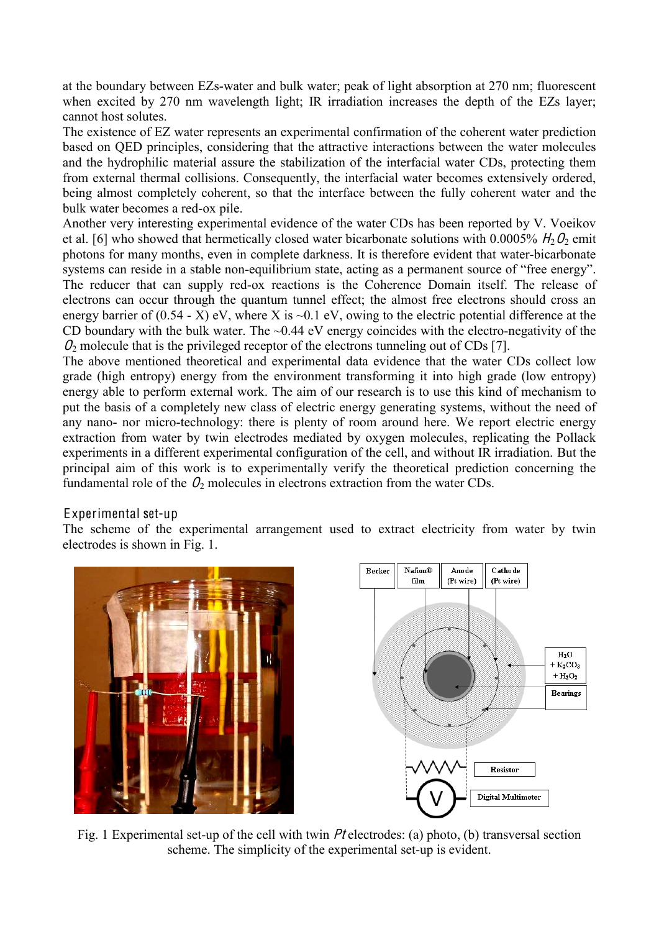at the boundary between EZs-water and bulk water; peak of light absorption at 270 nm; fluorescent when excited by 270 nm wavelength light; IR irradiation increases the depth of the EZs layer; cannot host solutes.

The existence of EZ water represents an experimental confirmation of the coherent water prediction based on QED principles, considering that the attractive interactions between the water molecules and the hydrophilic material assure the stabilization of the interfacial water CDs, protecting them from external thermal collisions. Consequently, the interfacial water becomes extensively ordered, being almost completely coherent, so that the interface between the fully coherent water and the bulk water becomes a red-ox pile.

Another very interesting experimental evidence of the water CDs has been reported by V. Voeikov et al. [6] who showed that hermetically closed water bicarbonate solutions with 0.0005%  $H_2O_2$  emit photons for many months, even in complete darkness. It is therefore evident that water-bicarbonate systems can reside in a stable non-equilibrium state, acting as a permanent source of "free energy". The reducer that can supply red-ox reactions is the Coherence Domain itself. The release of electrons can occur through the quantum tunnel effect; the almost free electrons should cross an energy barrier of  $(0.54 - X)$  eV, where X is  $\sim 0.1$  eV, owing to the electric potential difference at the CD boundary with the bulk water. The  $\sim 0.44$  eV energy coincides with the electro-negativity of the  $\mathcal{O}_2$  molecule that is the privileged receptor of the electrons tunneling out of CDs [7].

The above mentioned theoretical and experimental data evidence that the water CDs collect low grade (high entropy) energy from the environment transforming it into high grade (low entropy) energy able to perform external work. The aim of our research is to use this kind of mechanism to put the basis of a completely new class of electric energy generating systems, without the need of any nano- nor micro-technology: there is plenty of room around here. We report electric energy extraction from water by twin electrodes mediated by oxygen molecules, replicating the Pollack experiments in a different experimental configuration of the cell, and without IR irradiation. But the principal aim of this work is to experimentally verify the theoretical prediction concerning the fundamental role of the  $\mathcal{O}_2$  molecules in electrons extraction from the water CDs.

# Experimental set-up

The scheme of the experimental arrangement used to extract electricity from water by twin electrodes is shown in Fig. 1.





Fig. 1 Experimental set-up of the cell with twin P<sup>t</sup> electrodes: (a) photo, (b) transversal section scheme. The simplicity of the experimental set-up is evident.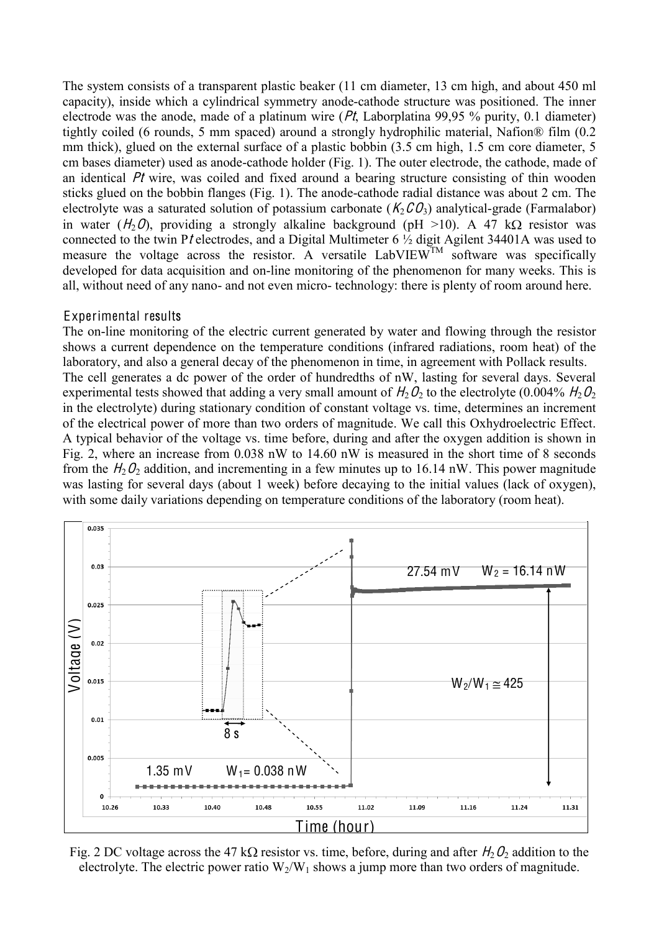The system consists of a transparent plastic beaker (11 cm diameter, 13 cm high, and about 450 ml capacity), inside which a cylindrical symmetry anode-cathode structure was positioned. The inner electrode was the anode, made of a platinum wire  $(Pt, Laborplatina 99.95 %$  purity, 0.1 diameter) tightly coiled (6 rounds, 5 mm spaced) around a strongly hydrophilic material, Nafion® film (0.2 mm thick), glued on the external surface of a plastic bobbin (3.5 cm high, 1.5 cm core diameter, 5 cm bases diameter) used as anode-cathode holder (Fig. 1). The outer electrode, the cathode, made of an identical P<sup>t</sup> wire, was coiled and fixed around a bearing structure consisting of thin wooden sticks glued on the bobbin flanges (Fig. 1). The anode-cathode radial distance was about 2 cm. The electrolyte was a saturated solution of potassium carbonate ( $K_2CO_3$ ) analytical-grade (Farmalabor) in water  $(H_2O)$ , providing a strongly alkaline background (pH >10). A 47 kQ resistor was connected to the twin Pt electrodes, and a Digital Multimeter 6  $\frac{1}{2}$  digit Agilent 34401A was used to measure the voltage across the resistor. A versatile  $LabVIEW<sup>TM</sup>$  software was specifically developed for data acquisition and on-line monitoring of the phenomenon for many weeks. This is all, without need of any nano- and not even micro- technology: there is plenty of room around here.

#### Experimental results

The on-line monitoring of the electric current generated by water and flowing through the resistor shows a current dependence on the temperature conditions (infrared radiations, room heat) of the laboratory, and also a general decay of the phenomenon in time, in agreement with Pollack results. The cell generates a dc power of the order of hundredths of nW, lasting for several days. Several experimental tests showed that adding a very small amount of  $H_2O_2$  to the electrolyte (0.004%  $H_2O_2$ ) in the electrolyte) during stationary condition of constant voltage vs. time, determines an increment of the electrical power of more than two orders of magnitude. We call this Oxhydroelectric Effect. A typical behavior of the voltage vs. time before, during and after the oxygen addition is shown in Fig. 2, where an increase from 0.038 nW to 14.60 nW is measured in the short time of 8 seconds from the  $H_2O_2$  addition, and incrementing in a few minutes up to 16.14 nW. This power magnitude was lasting for several days (about 1 week) before decaying to the initial values (lack of oxygen), with some daily variations depending on temperature conditions of the laboratory (room heat).



Fig. 2 DC voltage across the 47 k $\Omega$  resistor vs. time, before, during and after  $H_2O_2$  addition to the electrolyte. The electric power ratio  $W_2/W_1$  shows a jump more than two orders of magnitude.